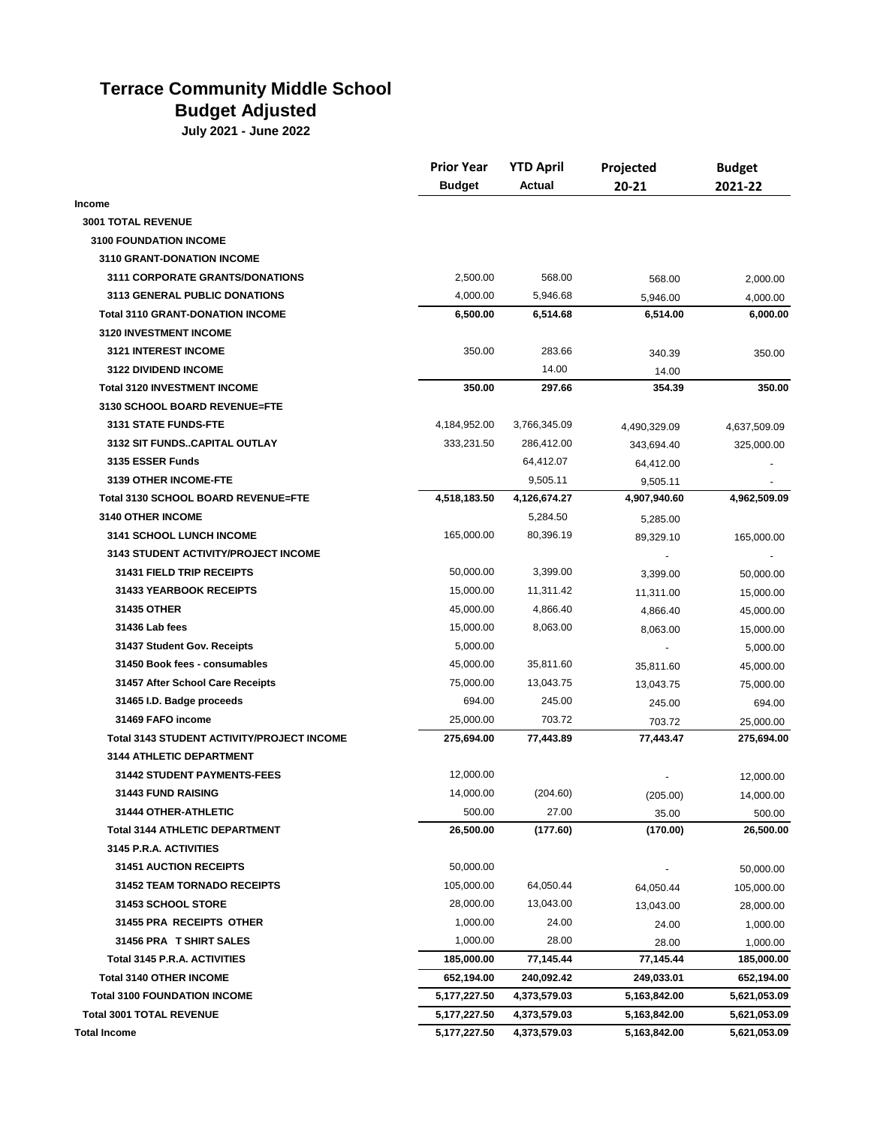## **Terrace Community Middle School**

## **Budget Adjusted**

**July 2021 - June 2022**

|                                                   | <b>Prior Year</b> | <b>YTD April</b> | Projected<br>$20 - 21$ | <b>Budget</b><br>2021-22 |
|---------------------------------------------------|-------------------|------------------|------------------------|--------------------------|
|                                                   | <b>Budget</b>     | Actual           |                        |                          |
| Income                                            |                   |                  |                        |                          |
| <b>3001 TOTAL REVENUE</b>                         |                   |                  |                        |                          |
| <b>3100 FOUNDATION INCOME</b>                     |                   |                  |                        |                          |
| 3110 GRANT-DONATION INCOME                        |                   |                  |                        |                          |
| <b>3111 CORPORATE GRANTS/DONATIONS</b>            | 2,500.00          | 568.00           | 568.00                 | 2,000.00                 |
| <b>3113 GENERAL PUBLIC DONATIONS</b>              | 4,000.00          | 5,946.68         | 5,946.00               | 4,000.00                 |
| <b>Total 3110 GRANT-DONATION INCOME</b>           | 6,500.00          | 6,514.68         | 6,514.00               | 6,000.00                 |
| 3120 INVESTMENT INCOME                            |                   |                  |                        |                          |
| <b>3121 INTEREST INCOME</b>                       | 350.00            | 283.66           | 340.39                 | 350.00                   |
| 3122 DIVIDEND INCOME                              |                   | 14.00            | 14.00                  |                          |
| <b>Total 3120 INVESTMENT INCOME</b>               | 350.00            | 297.66           | 354.39                 | 350.00                   |
| 3130 SCHOOL BOARD REVENUE=FTE                     |                   |                  |                        |                          |
| 3131 STATE FUNDS-FTE                              | 4,184,952.00      | 3,766,345.09     | 4,490,329.09           | 4,637,509.09             |
| 3132 SIT FUNDSCAPITAL OUTLAY                      | 333,231.50        | 286,412.00       | 343,694.40             | 325,000.00               |
| 3135 ESSER Funds                                  |                   | 64,412.07        | 64,412.00              |                          |
| 3139 OTHER INCOME-FTE                             |                   | 9,505.11         | 9,505.11               |                          |
| Total 3130 SCHOOL BOARD REVENUE=FTE               | 4,518,183.50      | 4,126,674.27     | 4,907,940.60           | 4,962,509.09             |
| <b>3140 OTHER INCOME</b>                          |                   | 5,284.50         | 5,285.00               |                          |
| <b>3141 SCHOOL LUNCH INCOME</b>                   | 165,000.00        | 80,396.19        | 89,329.10              | 165,000.00               |
| <b>3143 STUDENT ACTIVITY/PROJECT INCOME</b>       |                   |                  |                        |                          |
| 31431 FIELD TRIP RECEIPTS                         | 50,000.00         | 3,399.00         | 3,399.00               | 50,000.00                |
| <b>31433 YEARBOOK RECEIPTS</b>                    | 15,000.00         | 11,311.42        | 11,311.00              | 15,000.00                |
| 31435 OTHER                                       | 45,000.00         | 4,866.40         | 4,866.40               | 45,000.00                |
| 31436 Lab fees                                    | 15,000.00         | 8,063.00         | 8,063.00               | 15,000.00                |
| 31437 Student Gov. Receipts                       | 5,000.00          |                  |                        | 5,000.00                 |
| 31450 Book fees - consumables                     | 45,000.00         | 35,811.60        | 35,811.60              | 45,000.00                |
| 31457 After School Care Receipts                  | 75,000.00         | 13,043.75        | 13,043.75              | 75,000.00                |
| 31465 I.D. Badge proceeds                         | 694.00            | 245.00           | 245.00                 | 694.00                   |
| 31469 FAFO income                                 | 25,000.00         | 703.72           | 703.72                 | 25,000.00                |
| <b>Total 3143 STUDENT ACTIVITY/PROJECT INCOME</b> | 275,694.00        | 77,443.89        | 77,443.47              | 275,694.00               |
| <b>3144 ATHLETIC DEPARTMENT</b>                   |                   |                  |                        |                          |
| <b>31442 STUDENT PAYMENTS-FEES</b>                | 12,000.00         |                  |                        | 12,000.00                |
| <b>31443 FUND RAISING</b>                         | 14,000.00         | (204.60)         | (205.00)               | 14,000.00                |
| 31444 OTHER-ATHLETIC                              | 500.00            | 27.00            | 35.00                  | 500.00                   |
| <b>Total 3144 ATHLETIC DEPARTMENT</b>             | 26,500.00         | (177.60)         | (170.00)               | 26,500.00                |
| 3145 P.R.A. ACTIVITIES                            |                   |                  |                        |                          |
| <b>31451 AUCTION RECEIPTS</b>                     | 50,000.00         |                  |                        | 50,000.00                |
| 31452 TEAM TORNADO RECEIPTS                       | 105,000.00        | 64,050.44        | 64,050.44              | 105,000.00               |
| 31453 SCHOOL STORE                                | 28,000.00         | 13,043.00        | 13,043.00              | 28,000.00                |
| 31455 PRA RECEIPTS OTHER                          | 1,000.00          | 24.00            | 24.00                  | 1,000.00                 |
| 31456 PRA T SHIRT SALES                           | 1,000.00          | 28.00            | 28.00                  | 1,000.00                 |
| Total 3145 P.R.A. ACTIVITIES                      | 185,000.00        | 77,145.44        | 77,145.44              | 185,000.00               |
| <b>Total 3140 OTHER INCOME</b>                    | 652,194.00        | 240,092.42       | 249,033.01             | 652,194.00               |
| <b>Total 3100 FOUNDATION INCOME</b>               | 5,177,227.50      | 4,373,579.03     | 5,163,842.00           | 5,621,053.09             |
| <b>Total 3001 TOTAL REVENUE</b>                   | 5,177,227.50      | 4,373,579.03     | 5,163,842.00           | 5,621,053.09             |
| <b>Total Income</b>                               | 5,177,227.50      | 4,373,579.03     | 5,163,842.00           | 5,621,053.09             |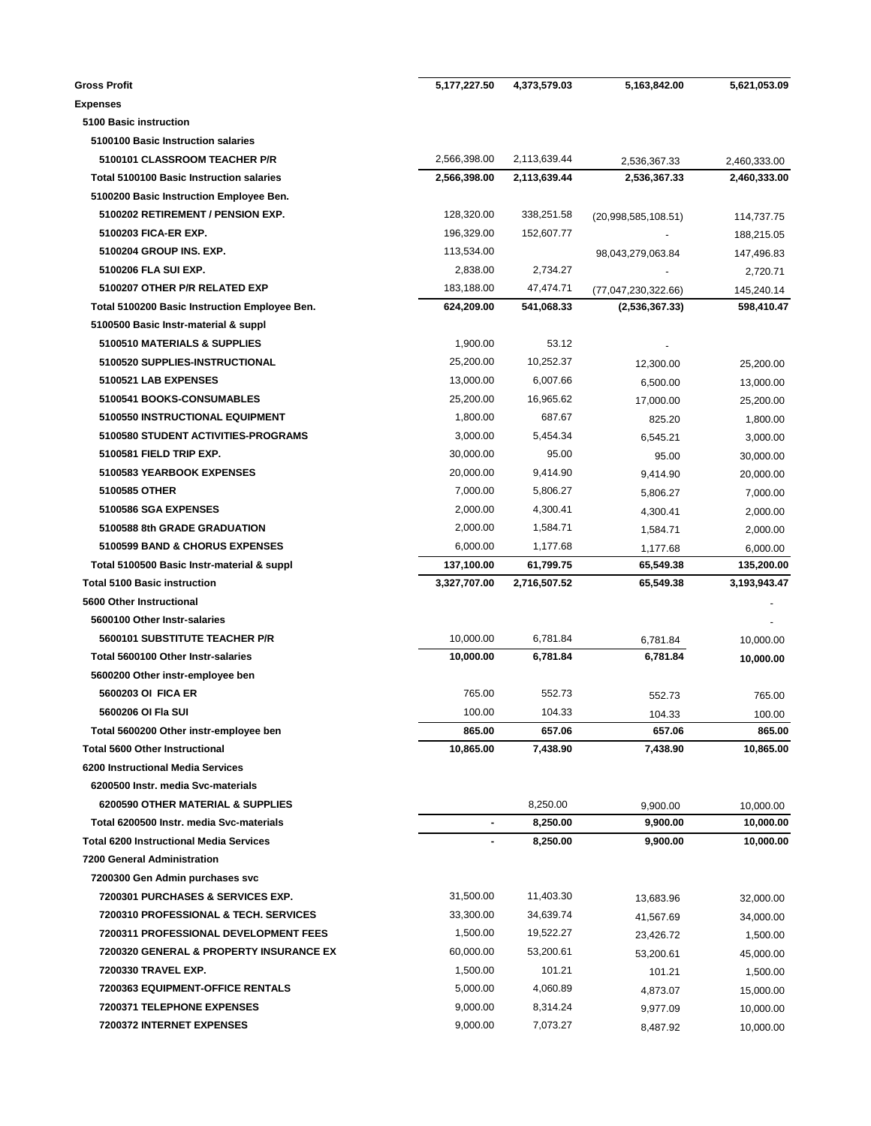| <b>Gross Profit</b>                              | 5,177,227.50   | 4,373,579.03 | 5,163,842.00        | 5,621,053.09           |
|--------------------------------------------------|----------------|--------------|---------------------|------------------------|
| <b>Expenses</b>                                  |                |              |                     |                        |
| 5100 Basic instruction                           |                |              |                     |                        |
| 5100100 Basic Instruction salaries               |                |              |                     |                        |
| 5100101 CLASSROOM TEACHER P/R                    | 2,566,398.00   | 2,113,639.44 | 2,536,367.33        | 2,460,333.00           |
| <b>Total 5100100 Basic Instruction salaries</b>  | 2,566,398.00   | 2,113,639.44 | 2,536,367.33        | 2,460,333.00           |
| 5100200 Basic Instruction Employee Ben.          |                |              |                     |                        |
| 5100202 RETIREMENT / PENSION EXP.                | 128,320.00     | 338,251.58   | (20,998,585,108.51) | 114,737.75             |
| 5100203 FICA-ER EXP.                             | 196,329.00     | 152,607.77   |                     | 188,215.05             |
| 5100204 GROUP INS. EXP.                          | 113,534.00     |              | 98,043,279,063.84   | 147,496.83             |
| 5100206 FLA SUI EXP.                             | 2,838.00       | 2,734.27     |                     | 2,720.71               |
| 5100207 OTHER P/R RELATED EXP                    | 183,188.00     | 47,474.71    | (77,047,230,322.66) | 145,240.14             |
| Total 5100200 Basic Instruction Employee Ben.    | 624,209.00     | 541,068.33   | (2,536,367.33)      | 598,410.47             |
| 5100500 Basic Instr-material & suppl             |                |              |                     |                        |
| 5100510 MATERIALS & SUPPLIES                     | 1,900.00       | 53.12        |                     |                        |
| 5100520 SUPPLIES-INSTRUCTIONAL                   | 25,200.00      | 10,252.37    | 12,300.00           | 25,200.00              |
| 5100521 LAB EXPENSES                             | 13,000.00      | 6,007.66     | 6,500.00            | 13,000.00              |
| 5100541 BOOKS-CONSUMABLES                        | 25,200.00      | 16,965.62    | 17.000.00           | 25,200.00              |
| 5100550 INSTRUCTIONAL EQUIPMENT                  | 1,800.00       | 687.67       | 825.20              | 1,800.00               |
| 5100580 STUDENT ACTIVITIES-PROGRAMS              | 3,000.00       | 5,454.34     | 6,545.21            | 3,000.00               |
| 5100581 FIELD TRIP EXP.                          | 30,000.00      | 95.00        | 95.00               | 30,000.00              |
| 5100583 YEARBOOK EXPENSES                        | 20,000.00      | 9,414.90     | 9,414.90            | 20,000.00              |
| 5100585 OTHER                                    | 7,000.00       | 5,806.27     | 5,806.27            | 7,000.00               |
| 5100586 SGA EXPENSES                             | 2,000.00       | 4,300.41     | 4,300.41            | 2,000.00               |
| 5100588 8th GRADE GRADUATION                     | 2,000.00       | 1,584.71     | 1,584.71            | 2,000.00               |
| 5100599 BAND & CHORUS EXPENSES                   | 6,000.00       | 1,177.68     | 1,177.68            | 6,000.00               |
| Total 5100500 Basic Instr-material & suppl       | 137,100.00     | 61,799.75    | 65,549.38           | 135,200.00             |
| <b>Total 5100 Basic instruction</b>              | 3,327,707.00   | 2,716,507.52 | 65,549.38           | 3,193,943.47           |
| 5600 Other Instructional                         |                |              |                     |                        |
| 5600100 Other Instr-salaries                     |                |              |                     |                        |
| 5600101 SUBSTITUTE TEACHER P/R                   | 10,000.00      | 6,781.84     | 6,781.84            | 10,000.00              |
| Total 5600100 Other Instr-salaries               | 10,000.00      | 6.781.84     | 6,781.84            | 10,000.00              |
| 5600200 Other instr-employee ben                 |                |              |                     |                        |
| 5600203 OI FICA ER                               | 765.00         | 552.73       |                     |                        |
| 5600206 OI Fla SUI                               | 100.00         | 104.33       | 552.73              | 765.00                 |
| Total 5600200 Other instr-employee ben           | 865.00         | 657.06       | 104.33<br>657.06    | 100.00<br>865.00       |
| <b>Total 5600 Other Instructional</b>            | 10,865.00      | 7,438.90     | 7,438.90            | 10,865.00              |
| 6200 Instructional Media Services                |                |              |                     |                        |
| 6200500 Instr. media Svc-materials               |                |              |                     |                        |
| 6200590 OTHER MATERIAL & SUPPLIES                |                | 8,250.00     |                     |                        |
|                                                  |                |              | 9,900.00            | 10,000.00<br>10,000.00 |
| Total 6200500 Instr. media Svc-materials         | $\blacksquare$ | 8,250.00     | 9,900.00            |                        |
| <b>Total 6200 Instructional Media Services</b>   |                | 8,250.00     | 9,900.00            | 10,000.00              |
| <b>7200 General Administration</b>               |                |              |                     |                        |
| 7200300 Gen Admin purchases svc                  |                |              |                     |                        |
| <b>7200301 PURCHASES &amp; SERVICES EXP.</b>     | 31,500.00      | 11,403.30    | 13,683.96           | 32,000.00              |
| <b>7200310 PROFESSIONAL &amp; TECH. SERVICES</b> | 33,300.00      | 34,639.74    | 41,567.69           | 34,000.00              |
| 7200311 PROFESSIONAL DEVELOPMENT FEES            | 1,500.00       | 19,522.27    | 23,426.72           | 1,500.00               |
| 7200320 GENERAL & PROPERTY INSURANCE EX          | 60,000.00      | 53,200.61    | 53,200.61           | 45,000.00              |
| 7200330 TRAVEL EXP.                              | 1,500.00       | 101.21       | 101.21              | 1,500.00               |
| 7200363 EQUIPMENT-OFFICE RENTALS                 | 5,000.00       | 4,060.89     | 4,873.07            | 15,000.00              |
| 7200371 TELEPHONE EXPENSES                       | 9,000.00       | 8,314.24     | 9,977.09            | 10,000.00              |
| 7200372 INTERNET EXPENSES                        | 9,000.00       | 7,073.27     | 8,487.92            | 10,000.00              |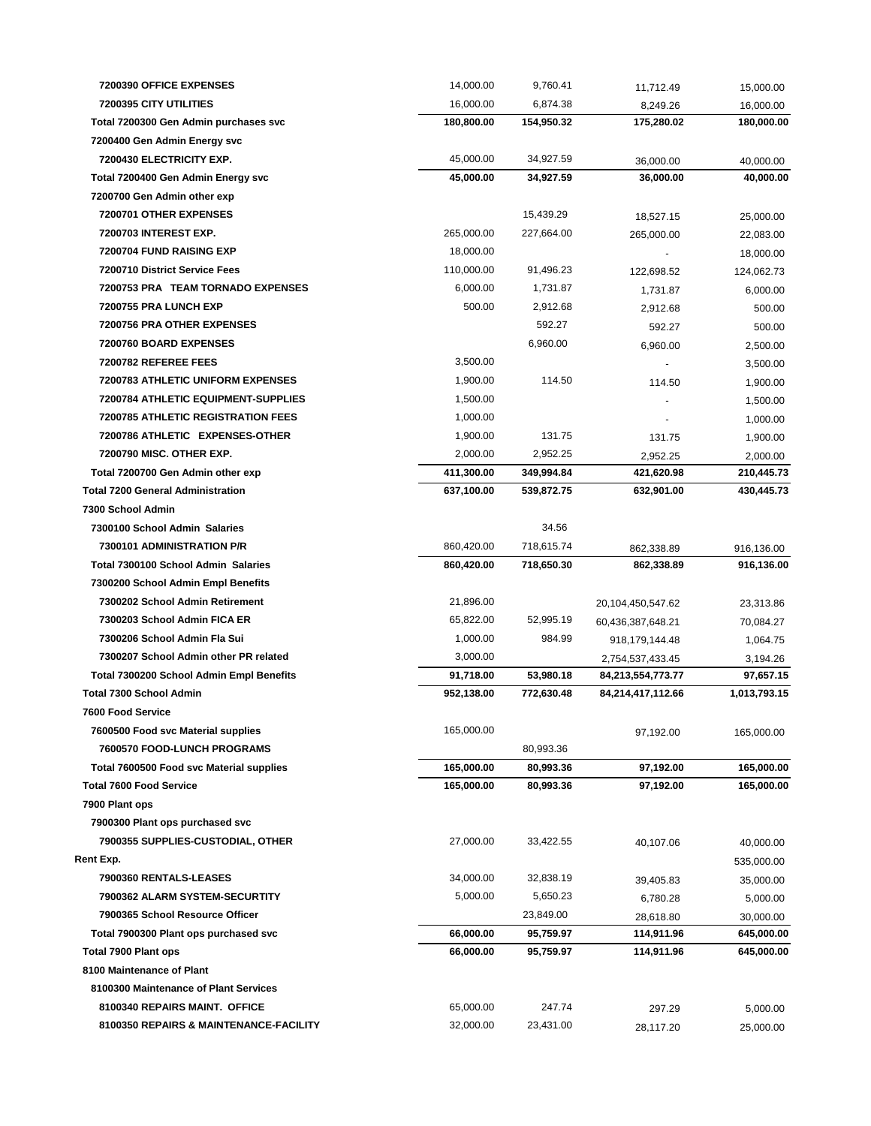| 7200390 OFFICE EXPENSES                   | 14,000.00  | 9,760.41   | 11,712.49         | 15,000.00    |
|-------------------------------------------|------------|------------|-------------------|--------------|
| 7200395 CITY UTILITIES                    | 16,000.00  | 6,874.38   | 8,249.26          | 16,000.00    |
| Total 7200300 Gen Admin purchases svc     | 180,800.00 | 154,950.32 | 175,280.02        | 180,000.00   |
| 7200400 Gen Admin Energy svc              |            |            |                   |              |
| 7200430 ELECTRICITY EXP.                  | 45,000.00  | 34,927.59  | 36.000.00         | 40,000.00    |
| Total 7200400 Gen Admin Energy svc        | 45.000.00  | 34,927.59  | 36,000.00         | 40,000.00    |
| 7200700 Gen Admin other exp               |            |            |                   |              |
| 7200701 OTHER EXPENSES                    |            | 15,439.29  | 18,527.15         | 25,000.00    |
| <b>7200703 INTEREST EXP.</b>              | 265,000.00 | 227,664.00 | 265,000.00        | 22,083.00    |
| 7200704 FUND RAISING EXP                  | 18,000.00  |            |                   | 18,000.00    |
| 7200710 District Service Fees             | 110,000.00 | 91,496.23  | 122,698.52        | 124,062.73   |
| 7200753 PRA TEAM TORNADO EXPENSES         | 6,000.00   | 1,731.87   | 1,731.87          | 6,000.00     |
| 7200755 PRA LUNCH EXP                     | 500.00     | 2,912.68   | 2,912.68          | 500.00       |
| 7200756 PRA OTHER EXPENSES                |            | 592.27     | 592.27            | 500.00       |
| 7200760 BOARD EXPENSES                    |            | 6,960.00   | 6,960.00          | 2,500.00     |
| 7200782 REFEREE FEES                      | 3,500.00   |            |                   | 3,500.00     |
| <b>7200783 ATHLETIC UNIFORM EXPENSES</b>  | 1,900.00   | 114.50     | 114.50            | 1,900.00     |
| 7200784 ATHLETIC EQUIPMENT-SUPPLIES       | 1,500.00   |            |                   | 1,500.00     |
| <b>7200785 ATHLETIC REGISTRATION FEES</b> | 1,000.00   |            |                   | 1,000.00     |
| 7200786 ATHLETIC EXPENSES-OTHER           | 1,900.00   | 131.75     | 131.75            | 1,900.00     |
| <b>7200790 MISC. OTHER EXP.</b>           | 2,000.00   | 2,952.25   | 2,952.25          | 2,000.00     |
| Total 7200700 Gen Admin other exp         | 411,300.00 | 349,994.84 | 421,620.98        | 210,445.73   |
| <b>Total 7200 General Administration</b>  | 637,100.00 | 539,872.75 | 632,901.00        | 430,445.73   |
| 7300 School Admin                         |            |            |                   |              |
| 7300100 School Admin Salaries             |            | 34.56      |                   |              |
| 7300101 ADMINISTRATION P/R                | 860,420.00 | 718,615.74 | 862,338.89        | 916,136.00   |
| Total 7300100 School Admin Salaries       | 860,420.00 | 718,650.30 | 862,338.89        | 916,136.00   |
| 7300200 School Admin Empl Benefits        |            |            |                   |              |
| 7300202 School Admin Retirement           | 21,896.00  |            | 20,104,450,547.62 | 23,313.86    |
| 7300203 School Admin FICA ER              | 65,822.00  | 52,995.19  | 60,436,387,648.21 | 70,084.27    |
| 7300206 School Admin Fla Sui              | 1,000.00   | 984.99     | 918, 179, 144. 48 | 1,064.75     |
| 7300207 School Admin other PR related     | 3,000.00   |            | 2,754,537,433.45  | 3,194.26     |
| Total 7300200 School Admin Empl Benefits  | 91,718.00  | 53,980.18  | 84,213,554,773.77 | 97,657.15    |
| <b>Total 7300 School Admin</b>            | 952,138.00 | 772,630.48 | 84,214,417,112.66 | 1,013,793.15 |
| 7600 Food Service                         |            |            |                   |              |
| 7600500 Food svc Material supplies        | 165,000.00 |            | 97,192.00         | 165,000.00   |
| 7600570 FOOD-LUNCH PROGRAMS               |            | 80,993.36  |                   |              |
| Total 7600500 Food svc Material supplies  | 165,000.00 | 80,993.36  | 97,192.00         | 165,000.00   |
| <b>Total 7600 Food Service</b>            | 165,000.00 | 80,993.36  | 97,192.00         | 165,000.00   |
| 7900 Plant ops                            |            |            |                   |              |
| 7900300 Plant ops purchased svc           |            |            |                   |              |
| 7900355 SUPPLIES-CUSTODIAL, OTHER         | 27,000.00  | 33,422.55  | 40,107.06         | 40,000.00    |
| Rent Exp.                                 |            |            |                   | 535,000.00   |
| 7900360 RENTALS-LEASES                    | 34,000.00  | 32,838.19  | 39,405.83         | 35,000.00    |
| 7900362 ALARM SYSTEM-SECURTITY            | 5,000.00   | 5,650.23   | 6,780.28          | 5,000.00     |
| 7900365 School Resource Officer           |            | 23,849.00  | 28,618.80         | 30,000.00    |
| Total 7900300 Plant ops purchased svc     | 66,000.00  | 95,759.97  | 114,911.96        | 645,000.00   |
| Total 7900 Plant ops                      | 66,000.00  | 95,759.97  | 114,911.96        | 645,000.00   |
| 8100 Maintenance of Plant                 |            |            |                   |              |
| 8100300 Maintenance of Plant Services     |            |            |                   |              |
| 8100340 REPAIRS MAINT. OFFICE             | 65,000.00  | 247.74     | 297.29            | 5,000.00     |
| 8100350 REPAIRS & MAINTENANCE-FACILITY    | 32,000.00  | 23,431.00  | 28,117.20         | 25,000.00    |